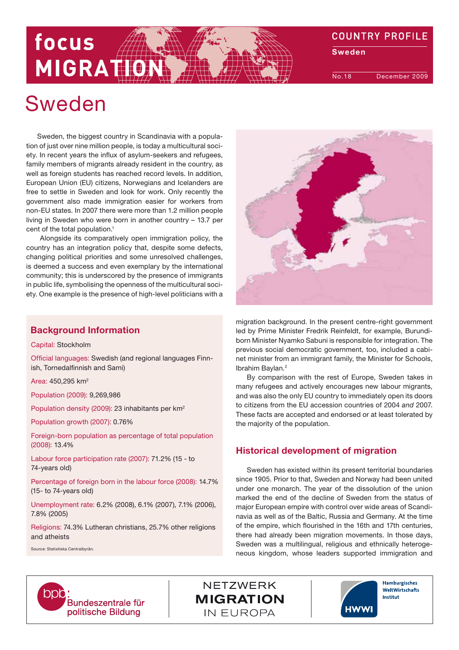# focus MIGRATH

**COUNTRY PROFILE** 

**Sweden** 

No.18 December 2009

# Sweden

Sweden, the biggest country in Scandinavia with a population of just over nine million people, is today a multicultural society. In recent years the influx of asylum-seekers and refugees, family members of migrants already resident in the country, as well as foreign students has reached record levels. In addition, European Union (EU) citizens, Norwegians and Icelanders are free to settle in Sweden and look for work. Only recently the government also made immigration easier for workers from non-EU states. In 2007 there were more than 1.2 million people living in Sweden who were born in another country – 13.7 per cent of the total population.<sup>1</sup>

 Alongside its comparatively open immigration policy, the country has an integration policy that, despite some defects, changing political priorities and some unresolved challenges, is deemed a success and even exemplary by the international community; this is underscored by the presence of immigrants in public life, symbolising the openness of the multicultural society. One example is the presence of high-level politicians with a

# Background Information

Capital: Stockholm

Official languages: Swedish (and regional languages Finnish, Tornedalfinnish and Sami)

Area: 450,295 km2

Population (2009): 9,269,986

Population density (2009): 23 inhabitants per km2

Population growth (2007): 0.76%

Foreign-born population as percentage of total population (2008): 13.4%

Labour force participation rate (2007): 71.2% (15 - to 74-years old)

Percentage of foreign born in the labour force (2008): 14.7% (15- to 74-years old)

Unemployment rate: 6.2% (2008), 6.1% (2007), 7.1% (2006), 7.8% (2005)

Religions: 74.3% Lutheran christians, 25.7% other religions and atheists

Source: Statistiska Centralbyrån.



migration background. In the present centre-right government led by Prime Minister Fredrik Reinfeldt, for example, Burundiborn Minister Nyamko Sabuni is responsible for integration. The previous social democratic government, too, included a cabinet minister from an immigrant family, the Minister for Schools, Ibrahim Baylan.2

By comparison with the rest of Europe, Sweden takes in many refugees and actively encourages new labour migrants, and was also the only EU country to immediately open its doors to citizens from the EU accession countries of 2004 and 2007. These facts are accepted and endorsed or at least tolerated by the majority of the population.

# Historical development of migration

Sweden has existed within its present territorial boundaries since 1905. Prior to that, Sweden and Norway had been united under one monarch. The year of the dissolution of the union marked the end of the decline of Sweden from the status of major European empire with control over wide areas of Scandinavia as well as of the Baltic, Russia and Germany. At the time of the empire, which flourished in the 16th and 17th centuries, there had already been migration movements. In those days, Sweden was a multilingual, religious and ethnically heterogeneous kingdom, whose leaders supported immigration and



NETZWERK **MIGRATION** IN EUROPA



Hamburgisches WeltWirtschafts Institut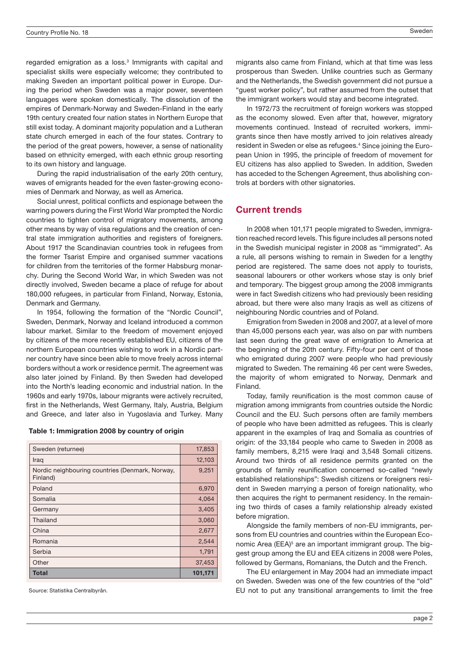regarded emigration as a loss.<sup>3</sup> Immigrants with capital and specialist skills were especially welcome; they contributed to making Sweden an important political power in Europe. During the period when Sweden was a major power, seventeen languages were spoken domestically. The dissolution of the empires of Denmark-Norway and Sweden-Finland in the early 19th century created four nation states in Northern Europe that still exist today. A dominant majority population and a Lutheran state church emerged in each of the four states. Contrary to the period of the great powers, however, a sense of nationality based on ethnicity emerged, with each ethnic group resorting to its own history and language.

During the rapid industrialisation of the early 20th century, waves of emigrants headed for the even faster-growing economies of Denmark and Norway, as well as America.

Social unrest, political conflicts and espionage between the warring powers during the First World War prompted the Nordic countries to tighten control of migratory movements, among other means by way of visa regulations and the creation of central state immigration authorities and registers of foreigners. About 1917 the Scandinavian countries took in refugees from the former Tsarist Empire and organised summer vacations for children from the territories of the former Habsburg monarchy. During the Second World War, in which Sweden was not directly involved, Sweden became a place of refuge for about 180,000 refugees, in particular from Finland, Norway, Estonia, Denmark and Germany.

In 1954, following the formation of the "Nordic Council", Sweden, Denmark, Norway and Iceland introduced a common labour market. Similar to the freedom of movement enjoyed by citizens of the more recently established EU, citizens of the northern European countries wishing to work in a Nordic partner country have since been able to move freely across internal borders without a work or residence permit. The agreement was also later joined by Finland. By then Sweden had developed into the North's leading economic and industrial nation. In the 1960s and early 1970s, labour migrants were actively recruited, first in the Netherlands, West Germany, Italy, Austria, Belgium and Greece, and later also in Yugoslavia and Turkey. Many

| Sweden (returnee)                                           | 17,853  |
|-------------------------------------------------------------|---------|
| Iraq                                                        | 12,103  |
| Nordic neighbouring countries (Denmark, Norway,<br>Finland) | 9,251   |
| Poland                                                      | 6,970   |
| Somalia                                                     | 4,064   |
| Germany                                                     | 3,405   |
| Thailand                                                    | 3,060   |
| China                                                       | 2,677   |
| Romania                                                     | 2,544   |
| Serbia                                                      | 1,791   |
| Other                                                       | 37,453  |
| Total                                                       | 101,171 |

Source: Statistika Centralbyrån.

migrants also came from Finland, which at that time was less prosperous than Sweden. Unlike countries such as Germany and the Netherlands, the Swedish government did not pursue a "guest worker policy", but rather assumed from the outset that the immigrant workers would stay and become integrated.

In 1972/73 the recruitment of foreign workers was stopped as the economy slowed. Even after that, however, migratory movements continued. Instead of recruited workers, immigrants since then have mostly arrived to join relatives already resident in Sweden or else as refugees.<sup>4</sup> Since joining the European Union in 1995, the principle of freedom of movement for EU citizens has also applied to Sweden. In addition, Sweden has acceded to the Schengen Agreement, thus abolishing controls at borders with other signatories.

## Current trends

In 2008 when 101,171 people migrated to Sweden, immigration reached record levels. This figure includes all persons noted in the Swedish municipal register in 2008 as "immigrated". As a rule, all persons wishing to remain in Sweden for a lengthy period are registered. The same does not apply to tourists, seasonal labourers or other workers whose stay is only brief and temporary. The biggest group among the 2008 immigrants were in fact Swedish citizens who had previously been residing abroad, but there were also many Iraqis as well as citizens of neighbouring Nordic countries and of Poland.

Emigration from Sweden in 2008 and 2007, at a level of more than 45,000 persons each year, was also on par with numbers last seen during the great wave of emigration to America at the beginning of the 20th century. Fifty-four per cent of those who emigrated during 2007 were people who had previously migrated to Sweden. The remaining 46 per cent were Swedes, the majority of whom emigrated to Norway, Denmark and Finland.

Today, family reunification is the most common cause of migration among immigrants from countries outside the Nordic Council and the EU. Such persons often are family members of people who have been admitted as refugees. This is clearly apparent in the examples of Iraq and Somalia as countries of origin: of the 33,184 people who came to Sweden in 2008 as family members, 8,215 were Iraqi and 3,548 Somali citizens. Around two thirds of all residence permits granted on the grounds of family reunification concerned so-called "newly established relationships": Swedish citizens or foreigners resident in Sweden marrying a person of foreign nationality, who then acquires the right to permanent residency. In the remaining two thirds of cases a family relationship already existed before migration.

Alongside the family members of non-EU immigrants, persons from EU countries and countries within the European Economic Area (EEA)<sup>5</sup> are an important immigrant group. The biggest group among the EU and EEA citizens in 2008 were Poles, followed by Germans, Romanians, the Dutch and the French.

The EU enlargement in May 2004 had an immediate impact on Sweden. Sweden was one of the few countries of the "old" EU not to put any transitional arrangements to limit the free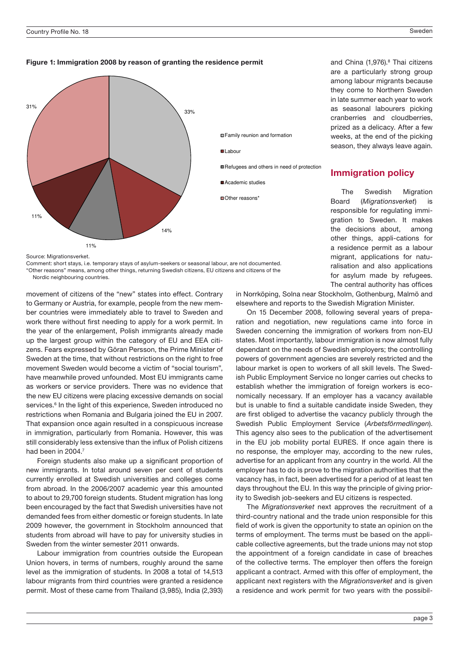# **Figure 1: Immigration 2008 by reason of granting the residence permit** Figure 1: Immigration 2008 by reason of granting the residence permit



Source: Migrationsverket.

Comment: short stays, i.e. temporary stays of asylum-seekers or seasonal labour, are not documented. "Other reasons" means, among other things, returning Swedish citizens, EU citizens and citizens of the Nordic neighbouring countries.

movement of citizens of the "new" states into effect. Contrary to Germany or Austria, for example, people from the new member countries were immediately able to travel to Sweden and work there without first needing to apply for a work permit. In the year of the enlargement, Polish immigrants already made up the largest group within the category of EU and EEA citizens. Fears expressed by Göran Persson, the Prime Minister of Sweden at the time, that without restrictions on the right to free movement Sweden would become a victim of "social tourism", have meanwhile proved unfounded. Most EU immigrants came as workers or service providers. There was no evidence that the new EU citizens were placing excessive demands on social services.<sup>6</sup> In the light of this experience, Sweden introduced no restrictions when Romania and Bulgaria joined the EU in 2007. That expansion once again resulted in a conspicuous increase in immigration, particularly from Romania. However, this was still considerably less extensive than the influx of Polish citizens had been in 2004<sup>7</sup>

Foreign students also make up a significant proportion of new immigrants. In total around seven per cent of students currently enrolled at Swedish universities and colleges come from abroad. In the 2006/2007 academic year this amounted to about to 29,700 foreign students. Student migration has long been encouraged by the fact that Swedish universities have not demanded fees from either domestic or foreign students. In late 2009 however, the government in Stockholm announced that students from abroad will have to pay for university studies in Sweden from the winter semester 2011 onwards.

Labour immigration from countries outside the European Union hovers, in terms of numbers, roughly around the same level as the immigration of students. In 2008 a total of 14,513 labour migrants from third countries were granted a residence permit. Most of these came from Thailand (3,985), India (2,393) and China (1,976).<sup>8</sup> Thai citizens are a particularly strong group among labour migrants because they come to Northern Sweden in late summer each year to work as seasonal labourers picking cranberries and cloudberries, prized as a delicacy. After a few weeks, at the end of the picking season, they always leave again.

# Immigration policy

The Swedish Migration Board (Migrationsverket) is responsible for regulating immigration to Sweden. It makes the decisions about, among other things, appli-cations for a residence permit as a labour migrant, applications for naturalisation and also applications for asylum made by refugees. The central authority has offices

in Norrköping, Solna near Stockholm, Gothenburg, Malmö and elsewhere and reports to the Swedish Migration Minister.

On 15 December 2008, following several years of preparation and negotiation, new regulations came into force in Sweden concerning the immigration of workers from non-EU states. Most importantly, labour immigration is now almost fully dependant on the needs of Swedish employers; the controlling powers of government agencies are severely restricted and the labour market is open to workers of all skill levels. The Swedish Public Employment Service no longer carries out checks to establish whether the immigration of foreign workers is economically necessary. If an employer has a vacancy available but is unable to find a suitable candidate inside Sweden, they are first obliged to advertise the vacancy publicly through the Swedish Public Employment Service (Arbetsförmedlingen). This agency also sees to the publication of the advertisement in the EU job mobility portal EURES. If once again there is no response, the employer may, according to the new rules, advertise for an applicant from any country in the world. All the employer has to do is prove to the migration authorities that the vacancy has, in fact, been advertised for a period of at least ten days throughout the EU. In this way the principle of giving priority to Swedish job-seekers and EU citizens is respected.

The Migrationsverket next approves the recruitment of a third-country national and the trade union responsible for this field of work is given the opportunity to state an opinion on the terms of employment. The terms must be based on the applicable collective agreements, but the trade unions may not stop the appointment of a foreign candidate in case of breaches of the collective terms. The employer then offers the foreign applicant a contract. Armed with this offer of employment, the applicant next registers with the Migrationsverket and is given a residence and work permit for two years with the possibil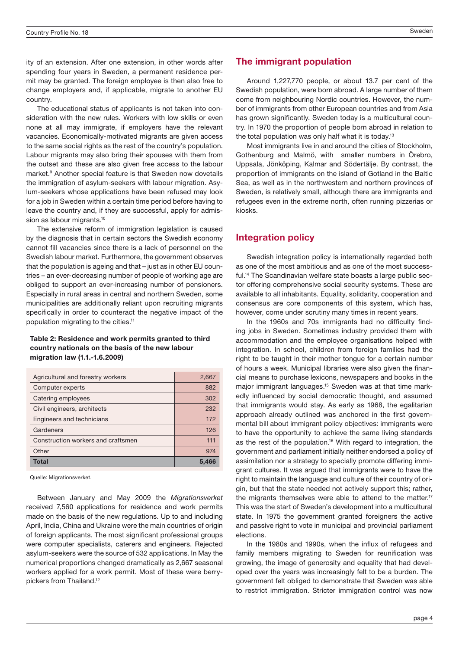ity of an extension. After one extension, in other words after spending four years in Sweden, a permanent residence permit may be granted. The foreign employee is then also free to change employers and, if applicable, migrate to another EU country.

The educational status of applicants is not taken into consideration with the new rules. Workers with low skills or even none at all may immigrate, if employers have the relevant vacancies. Economically-motivated migrants are given access to the same social rights as the rest of the country's population. Labour migrants may also bring their spouses with them from the outset and these are also given free access to the labour market.<sup>9</sup> Another special feature is that Sweden now dovetails the immigration of asylum-seekers with labour migration. Asylum-seekers whose applications have been refused may look for a job in Sweden within a certain time period before having to leave the country and, if they are successful, apply for admission as labour migrants.<sup>10</sup>

The extensive reform of immigration legislation is caused by the diagnosis that in certain sectors the Swedish economy cannot fill vacancies since there is a lack of personnel on the Swedish labour market. Furthermore, the government observes that the population is ageing and that – just as in other EU countries – an ever-decreasing number of people of working age are obliged to support an ever-increasing number of pensioners. Especially in rural areas in central and northern Sweden, some municipalities are additionally reliant upon recruiting migrants specifically in order to counteract the negative impact of the population migrating to the cities.11

### Table 2: Residence and work permits granted to third country nationals on the basis of the new labour migration law (1.1.-1.6.2009)

| Agricultural and forestry workers  | 2,667 |
|------------------------------------|-------|
| Computer experts                   | 882   |
| Catering employees                 | 302   |
| Civil engineers, architects        | 232   |
| Engineers and technicians          | 172   |
| Gardeners                          | 126   |
| Construction workers and craftsmen | 111   |
| Other                              | 974   |
| <b>Total</b>                       | 5.466 |

Quelle: Migrationsverket.

Between January and May 2009 the Migrationsverket received 7,560 applications for residence and work permits made on the basis of the new regulations. Up to and including April, India, China and Ukraine were the main countries of origin of foreign applicants. The most significant professional groups were computer specialists, caterers and engineers. Rejected asylum-seekers were the source of 532 applications. In May the numerical proportions changed dramatically as 2,667 seasonal workers applied for a work permit. Most of these were berrypickers from Thailand.12

## The immigrant population

Around 1,227,770 people, or about 13.7 per cent of the Swedish population, were born abroad. A large number of them come from neighbouring Nordic countries. However, the number of immigrants from other European countries and from Asia has grown significantly. Sweden today is a multicultural country. In 1970 the proportion of people born abroad in relation to the total population was only half what it is today.13

Most immigrants live in and around the cities of Stockholm, Gothenburg and Malmö, with smaller numbers in Örebro, Uppsala, Jönköping, Kalmar and Södertälje. By contrast, the proportion of immigrants on the island of Gotland in the Baltic Sea, as well as in the northwestern and northern provinces of Sweden, is relatively small, although there are immigrants and refugees even in the extreme north, often running pizzerias or kiosks.

## Integration policy

Swedish integration policy is internationally regarded both as one of the most ambitious and as one of the most successful.14 The Scandinavian welfare state boasts a large public sector offering comprehensive social security systems. These are available to all inhabitants. Equality, solidarity, cooperation and consensus are core components of this system, which has, however, come under scrutiny many times in recent years.

In the 1960s and 70s immigrants had no difficulty finding jobs in Sweden. Sometimes industry provided them with accommodation and the employee organisations helped with integration. In school, children from foreign families had the right to be taught in their mother tongue for a certain number of hours a week. Municipal libraries were also given the financial means to purchase lexicons, newspapers and books in the major immigrant languages.<sup>15</sup> Sweden was at that time markedly influenced by social democratic thought, and assumed that immigrants would stay. As early as 1968, the egalitarian approach already outlined was anchored in the first governmental bill about immigrant policy objectives: immigrants were to have the opportunity to achieve the same living standards as the rest of the population.<sup>16</sup> With regard to integration, the government and parliament initially neither endorsed a policy of assimilation nor a strategy to specially promote differing immigrant cultures. It was argued that immigrants were to have the right to maintain the language and culture of their country of origin, but that the state needed not actively support this; rather, the migrants themselves were able to attend to the matter.<sup>17</sup> This was the start of Sweden's development into a multicultural state. In 1975 the government granted foreigners the active and passive right to vote in municipal and provincial parliament elections.

In the 1980s and 1990s, when the influx of refugees and family members migrating to Sweden for reunification was growing, the image of generosity and equality that had developed over the years was increasingly felt to be a burden. The government felt obliged to demonstrate that Sweden was able to restrict immigration. Stricter immigration control was now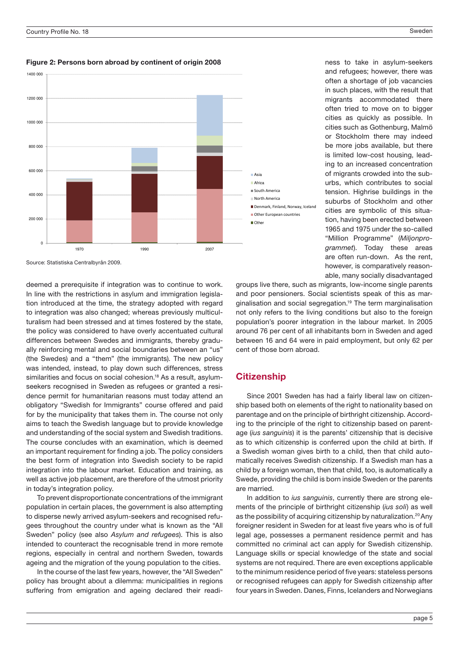

Figure 2: Persons born abroad by continent of origin 2008

Source: Statistiska Centralbyrån 2009.

deemed a prerequisite if integration was to continue to work. In line with the restrictions in asylum and immigration legislation introduced at the time, the strategy adopted with regard to integration was also changed; whereas previously multiculturalism had been stressed and at times fostered by the state, the policy was considered to have overly accentuated cultural differences between Swedes and immigrants, thereby gradually reinforcing mental and social boundaries between an "us" (the Swedes) and a "them" (the immigrants). The new policy was intended, instead, to play down such differences, stress similarities and focus on social cohesion.<sup>18</sup> As a result, asylumseekers recognised in Sweden as refugees or granted a residence permit for humanitarian reasons must today attend an obligatory "Swedish for Immigrants" course offered and paid for by the municipality that takes them in. The course not only aims to teach the Swedish language but to provide knowledge and understanding of the social system and Swedish traditions. The course concludes with an examination, which is deemed an important requirement for finding a job. The policy considers the best form of integration into Swedish society to be rapid integration into the labour market. Education and training, as well as active job placement, are therefore of the utmost priority in today's integration policy.

To prevent disproportionate concentrations of the immigrant population in certain places, the government is also attempting to disperse newly arrived asylum-seekers and recognised refugees throughout the country under what is known as the "All Sweden" policy (see also Asylum and refugees). This is also intended to counteract the recognisable trend in more remote regions, especially in central and northern Sweden, towards ageing and the migration of the young population to the cities.

In the course of the last few years, however, the "All Sweden" policy has brought about a dilemma: municipalities in regions suffering from emigration and ageing declared their readi-

ness to take in asylum-seekers and refugees; however, there was often a shortage of job vacancies in such places, with the result that migrants accommodated there often tried to move on to bigger cities as quickly as possible. In cities such as Gothenburg, Malmö or Stockholm there may indeed be more jobs available, but there is limited low-cost housing, leading to an increased concentration of migrants crowded into the suburbs, which contributes to social tension. Highrise buildings in the suburbs of Stockholm and other cities are symbolic of this situation, having been erected between 1965 and 1975 under the so-called "Million Programme" (Miljonprogrammet). Today these areas are often run-down. As the rent, however, is comparatively reasonable, many socially disadvantaged

groups live there, such as migrants, low-income single parents and poor pensioners. Social scientists speak of this as marginalisation and social segregation.19 The term marginalisation not only refers to the living conditions but also to the foreign population's poorer integration in the labour market. In 2005 around 76 per cent of all inhabitants born in Sweden and aged between 16 and 64 were in paid employment, but only 62 per cent of those born abroad.

# **Citizenship**

Since 2001 Sweden has had a fairly liberal law on citizenship based both on elements of the right to nationality based on parentage and on the principle of birthright citizenship. According to the principle of the right to citizenship based on parentage (ius sanguinis) it is the parents' citizenship that is decisive as to which citizenship is conferred upon the child at birth. If a Swedish woman gives birth to a child, then that child automatically receives Swedish citizenship. If a Swedish man has a child by a foreign woman, then that child, too, is automatically a Swede, providing the child is born inside Sweden or the parents are married.

In addition to ius sanguinis, currently there are strong elements of the principle of birthright citizenship (*ius soli*) as well as the possibility of acquiring citizenship by naturalization.<sup>20</sup> Any foreigner resident in Sweden for at least five years who is of full legal age, possesses a permanent residence permit and has committed no criminal act can apply for Swedish citizenship. Language skills or special knowledge of the state and social systems are not required. There are even exceptions applicable to the minimum residence period of five years: stateless persons or recognised refugees can apply for Swedish citizenship after four years in Sweden. Danes, Finns, Icelanders and Norwegians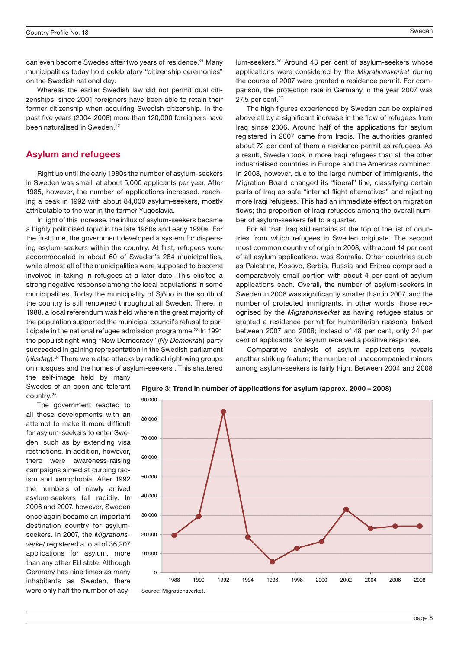can even become Swedes after two years of residence.<sup>21</sup> Many municipalities today hold celebratory "citizenship ceremonies" on the Swedish national day.

Whereas the earlier Swedish law did not permit dual citizenships, since 2001 foreigners have been able to retain their former citizenship when acquiring Swedish citizenship. In the past five years (2004-2008) more than 120,000 foreigners have been naturalised in Sweden.<sup>22</sup>

## Asylum and refugees

Right up until the early 1980s the number of asylum-seekers in Sweden was small, at about 5,000 applicants per year. After 1985, however, the number of applications increased, reaching a peak in 1992 with about 84,000 asylum-seekers, mostly attributable to the war in the former Yugoslavia.

In light of this increase, the influx of asylum-seekers became a highly politicised topic in the late 1980s and early 1990s. For the first time, the government developed a system for dispersing asylum-seekers within the country. At first, refugees were accommodated in about 60 of Sweden's 284 municipalities, while almost all of the municipalities were supposed to become involved in taking in refugees at a later date. This elicited a strong negative response among the local populations in some municipalities. Today the municipality of Sjöbo in the south of the country is still renowned throughout all Sweden. There, in 1988, a local referendum was held wherein the great majority of the population supported the municipal council's refusal to participate in the national refugee admission programme.<sup>23</sup> In 1991 the populist right-wing "New Democracy" (Ny Demokrati) party succeeded in gaining representation in the Swedish parliament (riksdag).24 There were also attacks by radical right-wing groups on mosques and the homes of asylum-seekers . This shattered the self-image held by many

lum-seekers.26 Around 48 per cent of asylum-seekers whose applications were considered by the Migrationsverket during the course of 2007 were granted a residence permit. For comparison, the protection rate in Germany in the year 2007 was 27.5 per cent.<sup>27</sup>

The high figures experienced by Sweden can be explained above all by a significant increase in the flow of refugees from Iraq since 2006. Around half of the applications for asylum registered in 2007 came from Iraqis. The authorities granted about 72 per cent of them a residence permit as refugees. As a result, Sweden took in more Iraqi refugees than all the other industrialised countries in Europe and the Americas combined. In 2008, however, due to the large number of immigrants, the Migration Board changed its "liberal" line, classifying certain parts of Iraq as safe "internal flight alternatives" and rejecting more Iraqi refugees. This had an immediate effect on migration flows; the proportion of Iraqi refugees among the overall number of asylum-seekers fell to a quarter.

For all that, Iraq still remains at the top of the list of countries from which refugees in Sweden originate. The second most common country of origin in 2008, with about 14 per cent of all asylum applications, was Somalia. Other countries such as Palestine, Kosovo, Serbia, Russia and Eritrea comprised a comparatively small portion with about 4 per cent of asylum applications each. Overall, the number of asylum-seekers in Sweden in 2008 was significantly smaller than in 2007, and the number of protected immigrants, in other words, those recognised by the Migrationsverket as having refugee status or granted a residence permit for humanitarian reasons, halved between 2007 and 2008; instead of 48 per cent, only 24 per cent of applicants for asylum received a positive response.

Comparative analysis of asylum applications reveals another striking feature; the number of unaccompanied minors among asylum-seekers is fairly high. Between 2004 and 2008

Swedes of an open and tolerant country.25

The government reacted to all these developments with an attempt to make it more difficult for asylum-seekers to enter Sweden, such as by extending visa restrictions. In addition, however, there were awareness-raising campaigns aimed at curbing racism and xenophobia. After 1992 the numbers of newly arrived asylum-seekers fell rapidly. In 2006 and 2007, however, Sweden once again became an important destination country for asylumseekers. In 2007, the Migrationsverket registered a total of 36,207 applications for asylum, more than any other EU state. Although Germany has nine times as many inhabitants as Sweden, there were only half the number of asy-



**Figure 3: Trend in number of applications for asylum (approx. 2000 – 2008)** Figure 3: Trend in number of applications for asylum (approx. 2000 – 2008)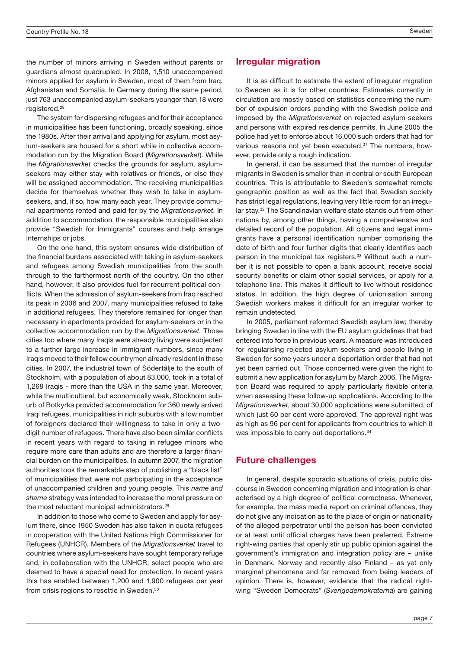the number of minors arriving in Sweden without parents or guardians almost quadrupled. In 2008, 1,510 unaccompanied minors applied for asylum in Sweden, most of them from Iraq, Afghanistan and Somalia. In Germany during the same period, just 763 unaccompanied asylum-seekers younger than 18 were registered.28

The system for dispersing refugees and for their acceptance in municipalities has been functioning, broadly speaking, since the 1980s. After their arrival and applying for asylum, most asylum-seekers are housed for a short while in collective accommodation run by the Migration Board (Migrationsverket). While the Migrationsverket checks the grounds for asylum, asylumseekers may either stay with relatives or friends, or else they will be assigned accommodation. The receiving municipalities decide for themselves whether they wish to take in asylumseekers, and, if so, how many each year. They provide communal apartments rented and paid for by the Migrationsverket. In addition to accommodation, the responsible municipalities also provide "Swedish for Immigrants" courses and help arrange internships or jobs.

On the one hand, this system ensures wide distribution of the financial burdens associated with taking in asylum-seekers and refugees among Swedish municipalities from the south through to the farthermost north of the country. On the other hand, however, it also provides fuel for recurrent political conflicts. When the admission of asylum-seekers from Iraq reached its peak in 2006 and 2007, many municipalities refused to take in additional refugees. They therefore remained for longer than necessary in apartments provided for asylum-seekers or in the collective accommodation run by the Migrationsverket. Those cities too where many Iraqis were already living were subjected to a further large increase in immigrant numbers, since many Iraqis moved to their fellow countrymen already resident in these cities. In 2007, the industrial town of Södertälje to the south of Stockholm, with a population of about 83,000, took in a total of 1,268 Iraqis - more than the USA in the same year. Moreover, while the multicultural, but economically weak, Stockholm suburb of Botkyrka provided accommodation for 360 newly arrived Iraqi refugees, municipalities in rich suburbs with a low number of foreigners declared their willingness to take in only a twodigit number of refugees. There have also been similar conflicts in recent years with regard to taking in refugee minors who require more care than adults and are therefore a larger financial burden on the municipalities. In autumn 2007, the migration authorities took the remarkable step of publishing a "black list" of municipalities that were not participating in the acceptance of unaccompanied children and young people. This name and shame strategy was intended to increase the moral pressure on the most reluctant municipal administrators.<sup>29</sup>

In addition to those who come to Sweden and apply for asylum there, since 1950 Sweden has also taken in quota refugees in cooperation with the United Nations High Commissioner for Refugees (UNHCR). Members of the Migrationsverket travel to countries where asylum-seekers have sought temporary refuge and, in collaboration with the UNHCR, select people who are deemed to have a special need for protection. In recent years this has enabled between 1,200 and 1,900 refugees per year from crisis regions to resettle in Sweden.<sup>30</sup>

# Irregular migration

It is as difficult to estimate the extent of irregular migration to Sweden as it is for other countries. Estimates currently in circulation are mostly based on statistics concerning the number of expulsion orders pending with the Swedish police and imposed by the Migrationsverket on rejected asylum-seekers and persons with expired residence permits. In June 2005 the police had yet to enforce about 16,000 such orders that had for various reasons not yet been executed.<sup>31</sup> The numbers, however, provide only a rough indication.

In general, it can be assumed that the number of irregular migrants in Sweden is smaller than in central or south European countries. This is attributable to Sweden's somewhat remote geographic position as well as the fact that Swedish society has strict legal regulations, leaving very little room for an irregular stay.32 The Scandinavian welfare state stands out from other nations by, among other things, having a comprehensive and detailed record of the population. All citizens and legal immigrants have a personal identification number comprising the date of birth and four further digits that clearly identifies each person in the municipal tax registers.<sup>33</sup> Without such a number it is not possible to open a bank account, receive social security benefits or claim other social services, or apply for a telephone line. This makes it difficult to live without residence status. In addition, the high degree of unionisation among Swedish workers makes it difficult for an irregular worker to remain undetected.

In 2005, parliament reformed Swedish asylum law; thereby bringing Sweden in line with the EU asylum guidelines that had entered into force in previous years. A measure was introduced for regularising rejected asylum-seekers and people living in Sweden for some years under a deportation order that had not yet been carried out. Those concerned were given the right to submit a new application for asylum by March 2006. The Migration Board was required to apply particularly flexible criteria when assessing these follow-up applications. According to the Migrationsverket, about 30,000 applications were submitted, of which just 60 per cent were approved. The approval right was as high as 96 per cent for applicants from countries to which it was impossible to carry out deportations.<sup>34</sup>

# Future challenges

In general, despite sporadic situations of crisis, public discourse in Sweden concerning migration and integration is characterised by a high degree of political correctness. Whenever, for example, the mass media report on criminal offences, they do not give any indication as to the place of origin or nationality of the alleged perpetrator until the person has been convicted or at least until official charges have been preferred. Extreme right-wing parties that openly stir up public opinion against the government's immigration and integration policy are – unlike in Denmark, Norway and recently also Finland – as yet only marginal phenomena and far removed from being leaders of opinion. There is, however, evidence that the radical rightwing "Sweden Democrats" (Sverigedemokraterna) are gaining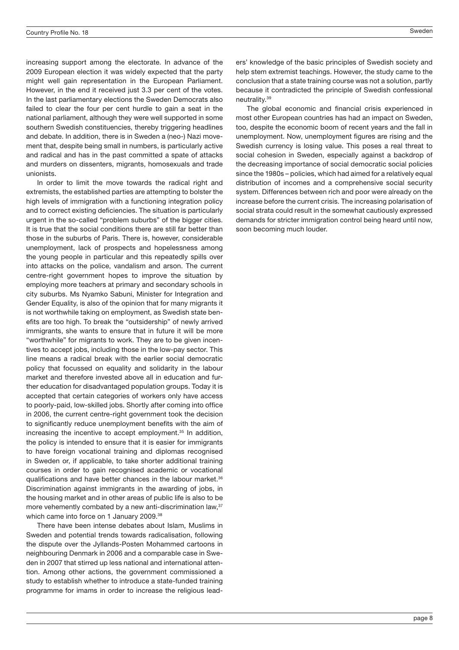increasing support among the electorate. In advance of the 2009 European election it was widely expected that the party might well gain representation in the European Parliament. However, in the end it received just 3.3 per cent of the votes. In the last parliamentary elections the Sweden Democrats also failed to clear the four per cent hurdle to gain a seat in the national parliament, although they were well supported in some southern Swedish constituencies, thereby triggering headlines and debate. In addition, there is in Sweden a (neo-) Nazi movement that, despite being small in numbers, is particularly active and radical and has in the past committed a spate of attacks and murders on dissenters, migrants, homosexuals and trade unionists.

In order to limit the move towards the radical right and extremists, the established parties are attempting to bolster the high levels of immigration with a functioning integration policy and to correct existing deficiencies. The situation is particularly urgent in the so-called "problem suburbs" of the bigger cities. It is true that the social conditions there are still far better than those in the suburbs of Paris. There is, however, considerable unemployment, lack of prospects and hopelessness among the young people in particular and this repeatedly spills over into attacks on the police, vandalism and arson. The current centre-right government hopes to improve the situation by employing more teachers at primary and secondary schools in city suburbs. Ms Nyamko Sabuni, Minister for Integration and Gender Equality, is also of the opinion that for many migrants it is not worthwhile taking on employment, as Swedish state benefits are too high. To break the "outsidership" of newly arrived immigrants, she wants to ensure that in future it will be more "worthwhile" for migrants to work. They are to be given incentives to accept jobs, including those in the low-pay sector. This line means a radical break with the earlier social democratic policy that focussed on equality and solidarity in the labour market and therefore invested above all in education and further education for disadvantaged population groups. Today it is accepted that certain categories of workers only have access to poorly-paid, low-skilled jobs. Shortly after coming into office in 2006, the current centre-right government took the decision to significantly reduce unemployment benefits with the aim of increasing the incentive to accept employment.<sup>35</sup> In addition, the policy is intended to ensure that it is easier for immigrants to have foreign vocational training and diplomas recognised in Sweden or, if applicable, to take shorter additional training courses in order to gain recognised academic or vocational qualifications and have better chances in the labour market.<sup>36</sup> Discrimination against immigrants in the awarding of jobs, in the housing market and in other areas of public life is also to be more vehemently combated by a new anti-discrimination law.<sup>37</sup> which came into force on 1 January 2009.<sup>38</sup>

There have been intense debates about Islam, Muslims in Sweden and potential trends towards radicalisation, following the dispute over the Jyllands-Posten Mohammed cartoons in neighbouring Denmark in 2006 and a comparable case in Sweden in 2007 that stirred up less national and international attention. Among other actions, the government commissioned a study to establish whether to introduce a state-funded training programme for imams in order to increase the religious leaders' knowledge of the basic principles of Swedish society and help stem extremist teachings. However, the study came to the conclusion that a state training course was not a solution, partly because it contradicted the principle of Swedish confessional neutrality.39

The global economic and financial crisis experienced in most other European countries has had an impact on Sweden, too, despite the economic boom of recent years and the fall in unemployment. Now, unemployment figures are rising and the Swedish currency is losing value. This poses a real threat to social cohesion in Sweden, especially against a backdrop of the decreasing importance of social democratic social policies since the 1980s – policies, which had aimed for a relatively equal distribution of incomes and a comprehensive social security system. Differences between rich and poor were already on the increase before the current crisis. The increasing polarisation of social strata could result in the somewhat cautiously expressed demands for stricter immigration control being heard until now, soon becoming much louder.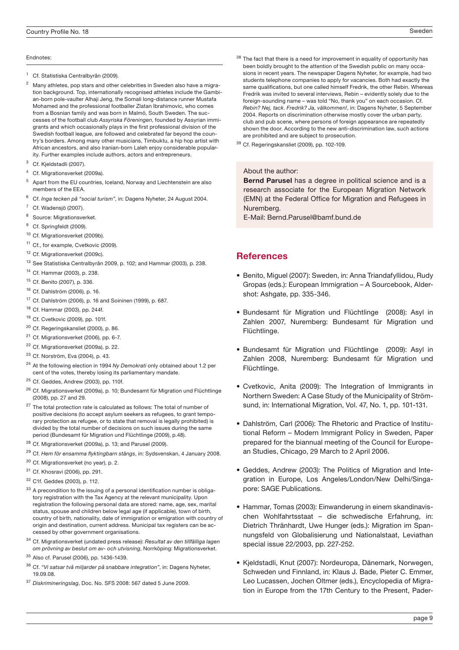#### Endnotes:

- <sup>1</sup> Cf. Statistiska Centralbyrån (2009).
- <sup>2</sup> Many athletes, pop stars and other celebrities in Sweden also have a migration background. Top, internationally recognised athletes include the Gambian-born pole-vaulter Alhaji Jeng, the Somali long-distance runner Mustafa Mohamed and the professional footballer Zlatan Ibrahimovic, who comes from a Bosnian family and was born in Malmö, South Sweden. The successes of the football club Assyriska Föreningen, founded by Assyrian immigrants and which occasionally plays in the first professional division of the Swedish football league, are followed and celebrated far beyond the country's borders. Among many other musicians, Timbuktu, a hip hop artist with African ancestors, and also Iranian-born Laleh enjoy considerable popularity. Further examples include authors, actors and entrepreneurs.
- <sup>3</sup> Cf. Kjeldstadli (2007).
- Cf. Migrationsverket (2009a).
- <sup>5</sup> Apart from the EU countries, Iceland, Norway and Liechtenstein are also members of the EEA.
- <sup>6</sup> Cf. Inga tecken på "social turism", in: Dagens Nyheter, 24 August 2004.
- Cf. Wadensjö (2007).
- <sup>8</sup> Source: Migrationsverket.
- <sup>9</sup> Cf. Springfeldt (2009).
- <sup>10</sup> Cf. Migrationsverket (2009b).
- <sup>11</sup> Cf., for example, Cvetkovic (2009).
- <sup>12</sup> Cf. Migrationsverket (2009c).
- <sup>13</sup> See Statistiska Centralbyrån 2009, p. 102; and Hammar (2003), p. 238.
- <sup>14</sup> Cf. Hammar (2003), p. 238.
- <sup>15</sup> Cf. Benito (2007), p. 336.
- <sup>16</sup> Cf. Dahlström (2006), p. 16.
- <sup>17</sup> Cf. Dahlström (2006), p. 16 and Soininen (1999), p. 687.
- <sup>18</sup> Cf. Hammar (2003), pp. 244f.
- <sup>19</sup> Cf. Cvetkovic (2009), pp. 101f.
- <sup>20</sup> Cf. Regeringskansliet (2000), p. 86.
- <sup>21</sup> Cf. Migrationsverket (2006), pp. 6-7.
- <sup>22</sup> Cf. Migrationsverket (2009a), p. 22.
- <sup>23</sup> Cf. Norström, Eva (2004), p. 43.
- <sup>24</sup> At the following election in 1994 Ny Demokrati only obtained about 1.2 per cent of the votes, thereby losing its parliamentary mandate.
- <sup>25</sup> Cf. Geddes, Andrew (2003), pp. 110f.
- <sup>26</sup> Cf. Migrationsverket (2009a), p. 10; Bundesamt für Migration und Flüchtlinge (2008), pp. 27 and 29.
- $27$  The total protection rate is calculated as follows: The total of number of positive decisions (to accept asylum seekers as refugees, to grant temporary protection as refugee, or to state that removal is legally prohibited) is divided by the total number of decisions on such issues during the same period (Bundesamt für Migration und Flüchtlinge (2009), p.48).
- <sup>28</sup> Cf. Migrationsverket (2009a), p. 13; and Parusel (2009).
- <sup>29</sup> Cf. Hem för ensamma flyktingbarn stängs, in: Sydsvenskan, 4 January 2008.
- <sup>30</sup> Cf. Migrationsverket (no year), p. 2.
- <sup>31</sup> Cf. Khosravi (2006), pp. 291.
- <sup>32</sup> C1f. Geddes (2003), p. 112.
- 33 A precondition to the issuing of a personal identification number is obligatory registration with the Tax Agency at the relevant municipality. Upon registration the following personal data are stored: name, age, sex, marital status, spouse and children below legal age (if applicable), town of birth, country of birth, nationality, date of immigration or emigration with country of origin and destination, current address. Municipal tax registers can be accessed by other government organisations.
- 34 Cf. Migrationsverket (undated press release): Resultat av den tillfälliga lagen om prövning av beslut om av- och utvisning, Norrköping: Migrationsverket.
- <sup>35</sup> Also cf. Parusel (2006), pp. 1436-1439.
- $36$  Cf. "Vi satsar två miljarder på snabbare integration", in: Dagens Nyheter, 19.09.08.
- <sup>37</sup> Diskrimineringslag, Doc. No. SFS 2008: 567 dated 5 June 2009.
- $^{38}$  The fact that there is a need for improvement in equality of opportunity has been boldly brought to the attention of the Swedish public on many occasions in recent years. The newspaper Dagens Nyheter, for example, had two students telephone companies to apply for vacancies. Both had exactly the same qualifications, but one called himself Fredrik, the other Rebin. Whereas Fredrik was invited to several interviews, Rebin – evidently solely due to the foreign-sounding name – was told "No, thank you" on each occasion. Cf. Rebin? Nej, tack. Fredrik? Ja, välkommen!, in: Dagens Nyheter, 5 September 2004. Reports on discrimination otherwise mostly cover the urban party, club and pub scene, where persons of foreign appearance are repeatedly shown the door. According to the new anti-discrimination law, such actions are prohibited and are subject to prosecution.
- <sup>39</sup> Cf. Regeringskansliet (2009), pp. 102-109.

#### About the author:

Bernd Parusel has a degree in political science and is a research associate for the European Migration Network (EMN) at the Federal Office for Migration and Refugees in Nuremberg.

E-Mail: Bernd.Parusel@bamf.bund.de

## **References**

- Benito, Miguel (2007): Sweden, in: Anna Triandafyllidou, Rudy Gropas (eds.): European Immigration – A Sourcebook, Aldershot: Ashgate, pp. 335-346.
- Bundesamt für Migration und Flüchtlinge (2008): Asyl in Zahlen 2007, Nuremberg: Bundesamt für Migration und Flüchtlinge.
- Bundesamt für Migration und Flüchtlinge (2009): Asyl in Zahlen 2008, Nuremberg: Bundesamt für Migration und Flüchtlinge.
- Cvetkovic, Anita (2009): The Integration of Immigrants in Northern Sweden: A Case Study of the Municipality of Strömsund, in: International Migration, Vol. 47, No. 1, pp. 101-131.
- Dahlström, Carl (2006): The Rhetoric and Practice of Institutional Reform – Modern Immigrant Policy in Sweden, Paper prepared for the biannual meeting of the Council for European Studies, Chicago, 29 March to 2 April 2006.
- Geddes, Andrew (2003): The Politics of Migration and Integration in Europe, Los Angeles/London/New Delhi/Singapore: SAGE Publications.
- Hammar, Tomas (2003): Einwanderung in einem skandinavischen Wohlfahrtsstaat – die schwedische Erfahrung, in: Dietrich Thränhardt, Uwe Hunger (eds.): Migration im Spannungsfeld von Globalisierung und Nationalstaat, Leviathan special issue 22/2003, pp. 227-252.
- Kjeldstadli, Knut (2007): Nordeuropa, Dänemark, Norwegen, Schweden und Finnland, in: Klaus J. Bade, Pieter C. Emmer, Leo Lucassen, Jochen Oltmer (eds.), Encyclopedia of Migration in Europe from the 17th Century to the Present, Pader-